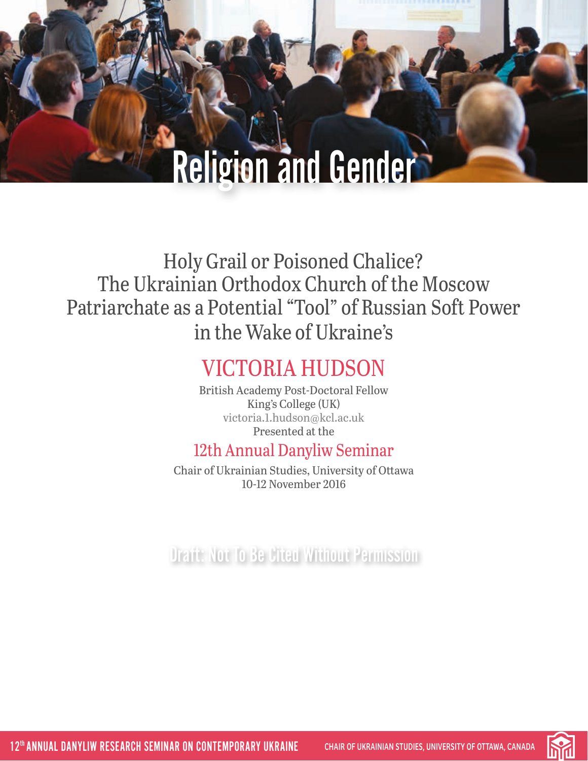# Religion and Gender

Holy Grail or Poisoned Chalice? The Ukrainian Orthodox Church of the Moscow Patriarchate as a Potential "Tool" of Russian Soft Power in the Wake of Ukraine's

## VICTORIA HUDSON

British Academy Post-Doctoral Fellow King's College (UK) [victoria.1.hudson@kcl.ac.uk](mailto:victoria.1.hudson%40kcl.ac.uk?subject=) Presented at the

### 12th Annual Danyliw Seminar

Chair of Ukrainian Studies, University of Ottawa 10-12 November 2016

Draft: Not To Be Cited Without Permission

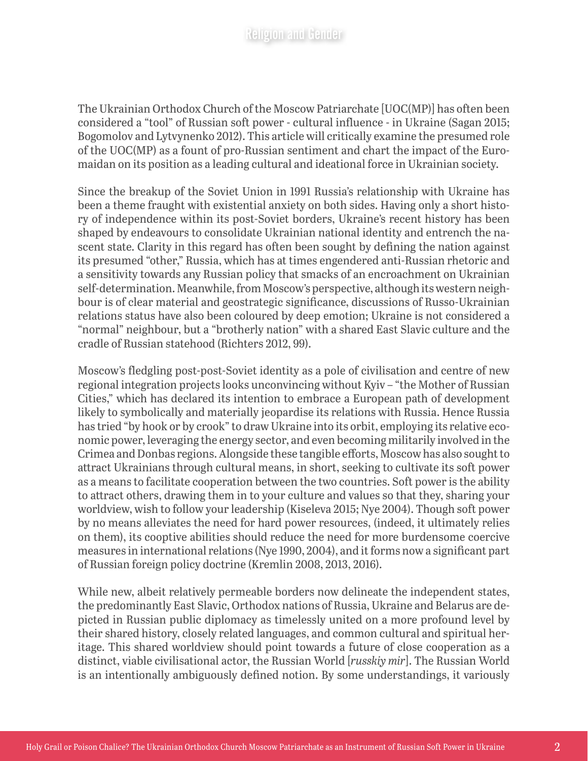The Ukrainian Orthodox Church of the Moscow Patriarchate [UOC(MP)] has often been considered a "tool" of Russian soft power - cultural influence - in Ukraine (Sagan 2015; Bogomolov and Lytvynenko 2012). This article will critically examine the presumed role of the UOC(MP) as a fount of pro-Russian sentiment and chart the impact of the Euromaidan on its position as a leading cultural and ideational force in Ukrainian society.

Since the breakup of the Soviet Union in 1991 Russia's relationship with Ukraine has been a theme fraught with existential anxiety on both sides. Having only a short history of independence within its post-Soviet borders, Ukraine's recent history has been shaped by endeavours to consolidate Ukrainian national identity and entrench the nascent state. Clarity in this regard has often been sought by defining the nation against its presumed "other," Russia, which has at times engendered anti-Russian rhetoric and a sensitivity towards any Russian policy that smacks of an encroachment on Ukrainian self-determination. Meanwhile, from Moscow's perspective, although its western neighbour is of clear material and geostrategic significance, discussions of Russo-Ukrainian relations status have also been coloured by deep emotion; Ukraine is not considered a "normal" neighbour, but a "brotherly nation" with a shared East Slavic culture and the cradle of Russian statehood (Richters 2012, 99).

Moscow's fledgling post-post-Soviet identity as a pole of civilisation and centre of new regional integration projects looks unconvincing without Kyiv – "the Mother of Russian Cities," which has declared its intention to embrace a European path of development likely to symbolically and materially jeopardise its relations with Russia. Hence Russia has tried "by hook or by crook" to draw Ukraine into its orbit, employing its relative economic power, leveraging the energy sector, and even becoming militarily involved in the Crimea and Donbas regions. Alongside these tangible efforts, Moscow has also sought to attract Ukrainians through cultural means, in short, seeking to cultivate its soft power as a means to facilitate cooperation between the two countries. Soft power is the ability to attract others, drawing them in to your culture and values so that they, sharing your worldview, wish to follow your leadership (Kiseleva 2015; Nye 2004). Though soft power by no means alleviates the need for hard power resources, (indeed, it ultimately relies on them), its cooptive abilities should reduce the need for more burdensome coercive measures in international relations (Nye 1990, 2004), and it forms now a significant part of Russian foreign policy doctrine (Kremlin 2008, 2013, 2016).

While new, albeit relatively permeable borders now delineate the independent states, the predominantly East Slavic, Orthodox nations of Russia, Ukraine and Belarus are depicted in Russian public diplomacy as timelessly united on a more profound level by their shared history, closely related languages, and common cultural and spiritual heritage. This shared worldview should point towards a future of close cooperation as a distinct, viable civilisational actor, the Russian World [*russkiy mir*]. The Russian World is an intentionally ambiguously defined notion. By some understandings, it variously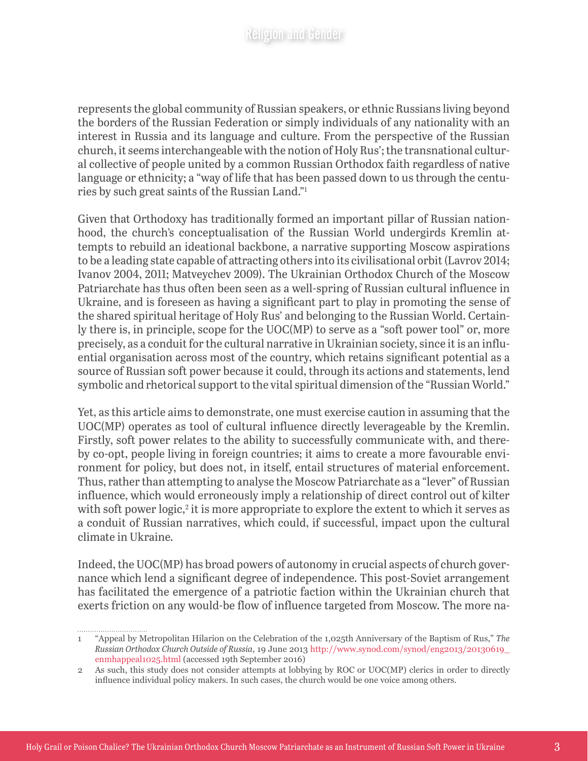represents the global community of Russian speakers, or ethnic Russians living beyond the borders of the Russian Federation or simply individuals of any nationality with an interest in Russia and its language and culture. From the perspective of the Russian church, it seems interchangeable with the notion of Holy Rus'; the transnational cultural collective of people united by a common Russian Orthodox faith regardless of native language or ethnicity; a "way of life that has been passed down to us through the centuries by such great saints of the Russian Land."1

Given that Orthodoxy has traditionally formed an important pillar of Russian nationhood, the church's conceptualisation of the Russian World undergirds Kremlin attempts to rebuild an ideational backbone, a narrative supporting Moscow aspirations to be a leading state capable of attracting others into its civilisational orbit (Lavrov 2014; Ivanov 2004, 2011; Matveychev 2009). The Ukrainian Orthodox Church of the Moscow Patriarchate has thus often been seen as a well-spring of Russian cultural influence in Ukraine, and is foreseen as having a significant part to play in promoting the sense of the shared spiritual heritage of Holy Rus' and belonging to the Russian World. Certainly there is, in principle, scope for the UOC(MP) to serve as a "soft power tool" or, more precisely, as a conduit for the cultural narrative in Ukrainian society, since it is an influential organisation across most of the country, which retains significant potential as a source of Russian soft power because it could, through its actions and statements, lend symbolic and rhetorical support to the vital spiritual dimension of the "Russian World."

Yet, as this article aims to demonstrate, one must exercise caution in assuming that the UOC(MP) operates as tool of cultural influence directly leverageable by the Kremlin. Firstly, soft power relates to the ability to successfully communicate with, and thereby co-opt, people living in foreign countries; it aims to create a more favourable environment for policy, but does not, in itself, entail structures of material enforcement. Thus, rather than attempting to analyse the Moscow Patriarchate as a "lever" of Russian influence, which would erroneously imply a relationship of direct control out of kilter with soft power logic,<sup>2</sup> it is more appropriate to explore the extent to which it serves as a conduit of Russian narratives, which could, if successful, impact upon the cultural climate in Ukraine.

Indeed, the UOC(MP) has broad powers of autonomy in crucial aspects of church governance which lend a significant degree of independence. This post-Soviet arrangement has facilitated the emergence of a patriotic faction within the Ukrainian church that exerts friction on any would-be flow of influence targeted from Moscow. The more na-

................................

<sup>1</sup> "Appeal by Metropolitan Hilarion on the Celebration of the 1,025th Anniversary of the Baptism of Rus," *The Russian Orthodox Church Outside of Russia*, 19 June 2013 [http://www.synod.com/synod/eng2013/20130619\\_](http://www.synod.com/synod/eng2013/20130619_enmhappeal1025.html) [enmhappeal1025.html](http://www.synod.com/synod/eng2013/20130619_enmhappeal1025.html) (accessed 19th September 2016)

<sup>2</sup> As such, this study does not consider attempts at lobbying by ROC or UOC(MP) clerics in order to directly influence individual policy makers. In such cases, the church would be one voice among others.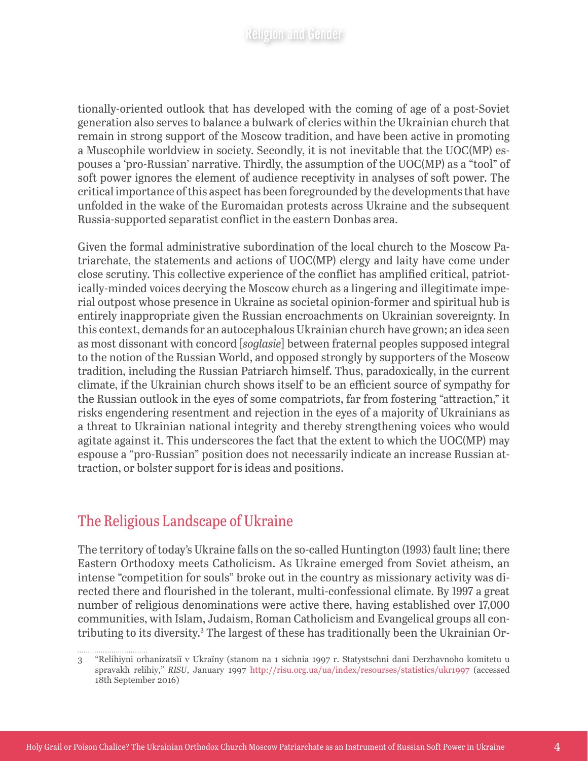tionally-oriented outlook that has developed with the coming of age of a post-Soviet generation also serves to balance a bulwark of clerics within the Ukrainian church that remain in strong support of the Moscow tradition, and have been active in promoting a Muscophile worldview in society. Secondly, it is not inevitable that the UOC(MP) espouses a 'pro-Russian' narrative. Thirdly, the assumption of the UOC(MP) as a "tool" of soft power ignores the element of audience receptivity in analyses of soft power. The critical importance of this aspect has been foregrounded by the developments that have unfolded in the wake of the Euromaidan protests across Ukraine and the subsequent Russia-supported separatist conflict in the eastern Donbas area.

Given the formal administrative subordination of the local church to the Moscow Patriarchate, the statements and actions of UOC(MP) clergy and laity have come under close scrutiny. This collective experience of the conflict has amplified critical, patriotically-minded voices decrying the Moscow church as a lingering and illegitimate imperial outpost whose presence in Ukraine as societal opinion-former and spiritual hub is entirely inappropriate given the Russian encroachments on Ukrainian sovereignty. In this context, demands for an autocephalous Ukrainian church have grown; an idea seen as most dissonant with concord [*soglasie*] between fraternal peoples supposed integral to the notion of the Russian World, and opposed strongly by supporters of the Moscow tradition, including the Russian Patriarch himself. Thus, paradoxically, in the current climate, if the Ukrainian church shows itself to be an efficient source of sympathy for the Russian outlook in the eyes of some compatriots, far from fostering "attraction," it risks engendering resentment and rejection in the eyes of a majority of Ukrainians as a threat to Ukrainian national integrity and thereby strengthening voices who would agitate against it. This underscores the fact that the extent to which the UOC(MP) may espouse a "pro-Russian" position does not necessarily indicate an increase Russian attraction, or bolster support for is ideas and positions.

#### The Religious Landscape of Ukraine

The territory of today's Ukraine falls on the so-called Huntington (1993) fault line; there Eastern Orthodoxy meets Catholicism. As Ukraine emerged from Soviet atheism, an intense "competition for souls" broke out in the country as missionary activity was directed there and flourished in the tolerant, multi-confessional climate. By 1997 a great number of religious denominations were active there, having established over 17,000 communities, with Islam, Judaism, Roman Catholicism and Evangelical groups all contributing to its diversity.<sup>3</sup> The largest of these has traditionally been the Ukrainian Or-

<sup>3</sup> "Relihiyni orhanizatsiï v Ukraïny (stanom na 1 sichnia 1997 r. Statystschni dani Derzhavnoho komitetu u spravakh relihiy," *RISU*, January 1997 <http://risu.org.ua/ua/index/resourses/statistics/ukr1997> (accessed 18th September 2016)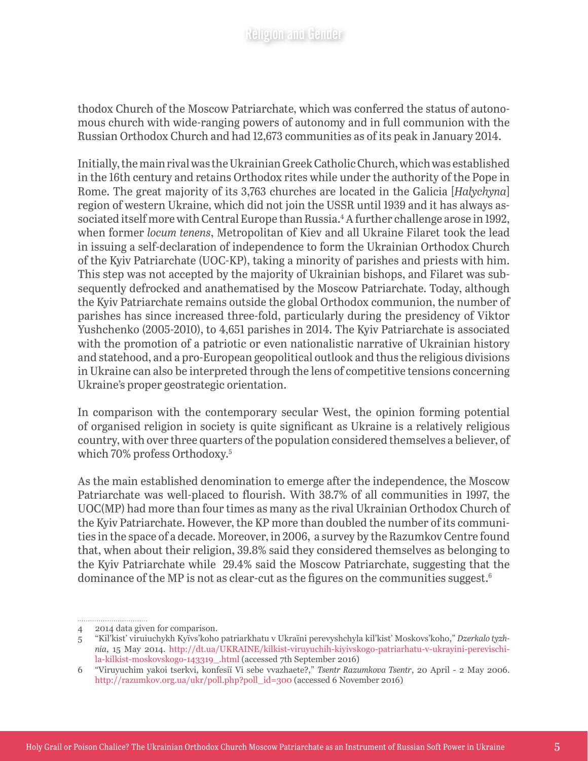thodox Church of the Moscow Patriarchate, which was conferred the status of autonomous church with wide-ranging powers of autonomy and in full communion with the Russian Orthodox Church and had 12,673 communities as of its peak in January 2014.

Initially, the main rival was the Ukrainian Greek Catholic Church, which was established in the 16th century and retains Orthodox rites while under the authority of the Pope in Rome. The great majority of its 3,763 churches are located in the Galicia [*Halychyna*] region of western Ukraine, which did not join the USSR until 1939 and it has always associated itself more with Central Europe than Russia.4 A further challenge arose in 1992, when former *locum tenens*, Metropolitan of Kiev and all Ukraine Filaret took the lead in issuing a self-declaration of independence to form the Ukrainian Orthodox Church of the Kyiv Patriarchate (UOC-KP), taking a minority of parishes and priests with him. This step was not accepted by the majority of Ukrainian bishops, and Filaret was subsequently defrocked and anathematised by the Moscow Patriarchate. Today, although the Kyiv Patriarchate remains outside the global Orthodox communion, the number of parishes has since increased three-fold, particularly during the presidency of Viktor Yushchenko (2005-2010), to 4,651 parishes in 2014. The Kyiv Patriarchate is associated with the promotion of a patriotic or even nationalistic narrative of Ukrainian history and statehood, and a pro-European geopolitical outlook and thus the religious divisions in Ukraine can also be interpreted through the lens of competitive tensions concerning Ukraine's proper geostrategic orientation.

In comparison with the contemporary secular West, the opinion forming potential of organised religion in society is quite significant as Ukraine is a relatively religious country, with over three quarters of the population considered themselves a believer, of which 70% profess Orthodoxy.<sup>5</sup>

As the main established denomination to emerge after the independence, the Moscow Patriarchate was well-placed to flourish. With 38.7% of all communities in 1997, the UOC(MP) had more than four times as many as the rival Ukrainian Orthodox Church of the Kyiv Patriarchate. However, the KP more than doubled the number of its communities in the space of a decade. Moreover, in 2006, a survey by the Razumkov Centre found that, when about their religion, 39.8% said they considered themselves as belonging to the Kyiv Patriarchate while 29.4% said the Moscow Patriarchate, suggesting that the dominance of the MP is not as clear-cut as the figures on the communities suggest.6

<sup>4</sup> 2014 data given for comparison.

<sup>5</sup> "Kil'kist' viruiuchykh Kyïvs'koho patriarkhatu v Ukraïni perevyshchyla kil'kist' Moskovs'koho," *Dzerkalo tyzhnia*, 15 May 2014. [http://dt.ua/UKRAINE/kilkist-viruyuchih-kiyivskogo-patriarhatu-v-ukrayini-perevischi](http://dt.ua/UKRAINE/kilkist-viruyuchih-kiyivskogo-patriarhatu-v-ukrayini-perevischila-kilkist-moskovskogo-143319_.html)[la-kilkist-moskovskogo-143319\\_.html](http://dt.ua/UKRAINE/kilkist-viruyuchih-kiyivskogo-patriarhatu-v-ukrayini-perevischila-kilkist-moskovskogo-143319_.html) (accessed 7th September 2016)

<sup>6</sup> "Viruyuchim yakoi tserkvi, konfesiï Vi sebe vvazhaete?," *Tsentr Razumkova Tsentr*, 20 April - 2 May 2006. [http://razumkov.org.ua/ukr/poll.php?poll\\_id=300](http://razumkov.org.ua/ukr/poll.php?poll_id=300) (accessed 6 November 2016)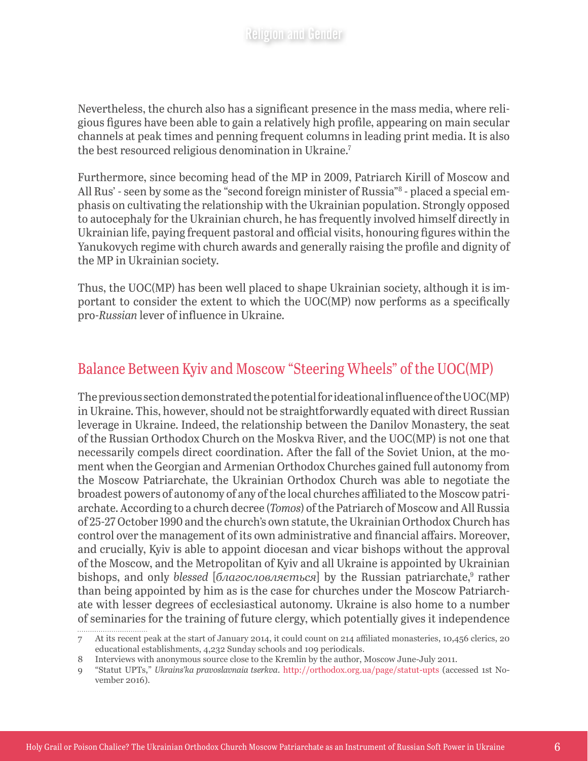Nevertheless, the church also has a significant presence in the mass media, where religious figures have been able to gain a relatively high profile, appearing on main secular channels at peak times and penning frequent columns in leading print media. It is also the best resourced religious denomination in Ukraine.7

Furthermore, since becoming head of the MP in 2009, Patriarch Kirill of Moscow and All Rus' - seen by some as the "second foreign minister of Russia"8 - placed a special emphasis on cultivating the relationship with the Ukrainian population. Strongly opposed to autocephaly for the Ukrainian church, he has frequently involved himself directly in Ukrainian life, paying frequent pastoral and official visits, honouring figures within the Yanukovych regime with church awards and generally raising the profile and dignity of the MP in Ukrainian society.

Thus, the UOC(MP) has been well placed to shape Ukrainian society, although it is important to consider the extent to which the UOC(MP) now performs as a specifically pro-*Russian* lever of influence in Ukraine.

#### Balance Between Kyiv and Moscow "Steering Wheels" of the UOC(MP)

The previous section demonstrated the potential for ideational influence of the UOC(MP) in Ukraine. This, however, should not be straightforwardly equated with direct Russian leverage in Ukraine. Indeed, the relationship between the Danilov Monastery, the seat of the Russian Orthodox Church on the Moskva River, and the UOC(MP) is not one that necessarily compels direct coordination. After the fall of the Soviet Union, at the moment when the Georgian and Armenian Orthodox Churches gained full autonomy from the Moscow Patriarchate, the Ukrainian Orthodox Church was able to negotiate the broadest powers of autonomy of any of the local churches affiliated to the Moscow patriarchate. According to a church decree (*Tomos*) of the Patriarch of Moscow and All Russia of 25-27 October 1990 and the church's own statute, the Ukrainian Orthodox Church has control over the management of its own administrative and financial affairs. Moreover, and crucially, Kyiv is able to appoint diocesan and vicar bishops without the approval of the Moscow, and the Metropolitan of Kyiv and all Ukraine is appointed by Ukrainian bishops, and only *blessed* [*благословляється*] by the Russian patriarchate,<sup>9</sup> rather than being appointed by him as is the case for churches under the Moscow Patriarchate with lesser degrees of ecclesiastical autonomy. Ukraine is also home to a number of seminaries for the training of future clergy, which potentially gives it independence 

<sup>7</sup> At its recent peak at the start of January 2014, it could count on 214 affiliated monasteries, 10,456 clerics, 20 educational establishments, 4,232 Sunday schools and 109 periodicals.

<sup>8</sup> Interviews with anonymous source close to the Kremlin by the author, Moscow June-July 2011.

<sup>9</sup> "Statut UPTs," *Ukrains'ka pravoslavnaia tserkva*. <http://orthodox.org.ua/page/statut-upts> (accessed 1st November 2016).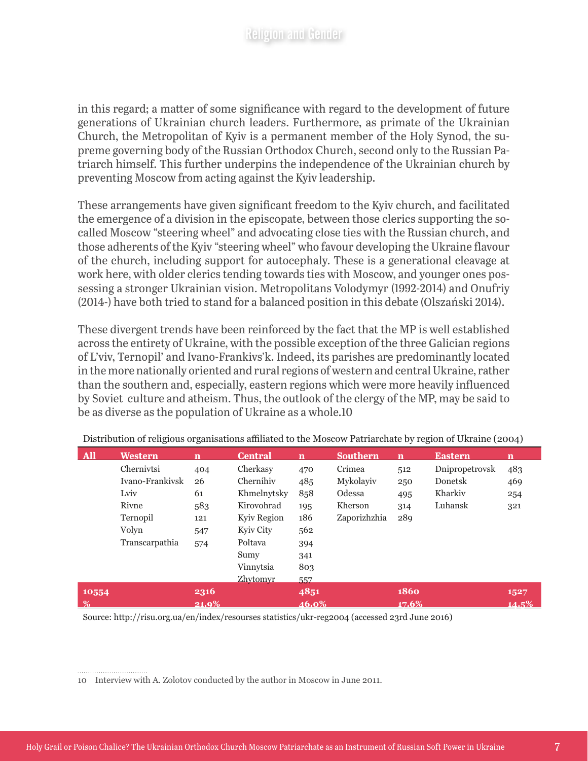in this regard; a matter of some significance with regard to the development of future generations of Ukrainian church leaders. Furthermore, as primate of the Ukrainian Church, the Metropolitan of Kyiv is a permanent member of the Holy Synod, the supreme governing body of the Russian Orthodox Church, second only to the Russian Patriarch himself. This further underpins the independence of the Ukrainian church by preventing Moscow from acting against the Kyiv leadership.

These arrangements have given significant freedom to the Kyiv church, and facilitated the emergence of a division in the episcopate, between those clerics supporting the socalled Moscow "steering wheel" and advocating close ties with the Russian church, and those adherents of the Kyiv "steering wheel" who favour developing the Ukraine flavour of the church, including support for autocephaly. These is a generational cleavage at work here, with older clerics tending towards ties with Moscow, and younger ones possessing a stronger Ukrainian vision. Metropolitans Volodymyr (1992-2014) and Onufriy (2014-) have both tried to stand for a balanced position in this debate (Olszański 2014).

These divergent trends have been reinforced by the fact that the MP is well established across the entirety of Ukraine, with the possible exception of the three Galician regions of L'viv, Ternopil' and Ivano-Frankivs'k. Indeed, its parishes are predominantly located in the more nationally oriented and rural regions of western and central Ukraine, rather than the southern and, especially, eastern regions which were more heavily influenced by Soviet culture and atheism. Thus, the outlook of the clergy of the MP, may be said to be as diverse as the population of Ukraine as a whole.10

| <b>All</b> | Western         | n        | <b>Central</b>  | n     | <b>Southern</b> | n     | <b>Eastern</b> | n        |
|------------|-----------------|----------|-----------------|-------|-----------------|-------|----------------|----------|
|            | Chernivtsi      | 404      | Cherkasy        | 470   | Crimea          | 512   | Dnipropetrovsk | 483      |
|            | Ivano-Frankiysk | 26       | Chernihiv       | 485   | Mykolaviv       | 250   | Donetsk        | 469      |
|            | Lviv            | 61       | Khmelnytsky     | 858   | Odessa          | 495   | Kharkiv        | 254      |
|            | Rivne           | 583      | Kirovohrad      | 195   | Kherson         | 314   | Luhansk        | 321      |
|            | Ternopil        | 121      | Kyiv Region     | 186   | Zaporizhzhia    | 289   |                |          |
|            | Volyn           | 547      | Kyiv City       | 562   |                 |       |                |          |
|            | Transcarpathia  | 574      | Poltava         | 394   |                 |       |                |          |
|            |                 |          | Sumy            | 341   |                 |       |                |          |
|            |                 |          | Vinnytsia       | 803   |                 |       |                |          |
|            |                 |          | <b>Zhytomyr</b> | 557   |                 |       |                |          |
| 10554      |                 | 2316     |                 | 4851  |                 | 1860  |                | 1527     |
| %          |                 | $21.9\%$ |                 | 46.0% |                 | 17.6% |                | $14.5\%$ |

Distribution of religious organisations affiliated to the Moscow Patriarchate by region of Ukraine (2004)

Source: http://risu.org.ua/en/index/resourses statistics/ukr-reg2004 (accessed 23rd June 2016)

<sup>10</sup> Interview with A. Zolotov conducted by the author in Moscow in June 2011.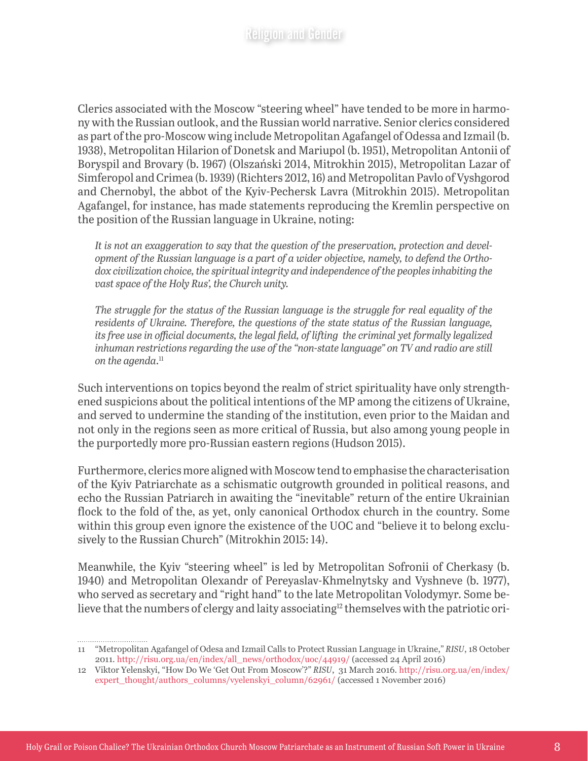Clerics associated with the Moscow "steering wheel" have tended to be more in harmony with the Russian outlook, and the Russian world narrative. Senior clerics considered as part of the pro-Moscow wing include Metropolitan Agafangel of Odessa and Izmail (b. 1938), Metropolitan Hilarion of Donetsk and Mariupol (b. 1951), Metropolitan Antonii of Boryspil and Brovary (b. 1967) (Olszański 2014, Mitrokhin 2015), Metropolitan Lazar of Simferopol and Crimea (b. 1939) (Richters 2012, 16) and Metropolitan Pavlo of Vyshgorod and Chernobyl, the abbot of the Kyiv-Pechersk Lavra (Mitrokhin 2015). Metropolitan Agafangel, for instance, has made statements reproducing the Kremlin perspective on the position of the Russian language in Ukraine, noting:

*It is not an exaggeration to say that the question of the preservation, protection and development of the Russian language is a part of a wider objective, namely, to defend the Orthodox civilization choice, the spiritual integrity and independence of the peoples inhabiting the vast space of the Holy Rus', the Church unity.*

*The struggle for the status of the Russian language is the struggle for real equality of the residents of Ukraine. Therefore, the questions of the state status of the Russian language, its free use in official documents, the legal field, of lifting the criminal yet formally legalized inhuman restrictions regarding the use of the "non-state language" on TV and radio are still on the agenda*. 11

Such interventions on topics beyond the realm of strict spirituality have only strengthened suspicions about the political intentions of the MP among the citizens of Ukraine, and served to undermine the standing of the institution, even prior to the Maidan and not only in the regions seen as more critical of Russia, but also among young people in the purportedly more pro-Russian eastern regions (Hudson 2015).

Furthermore, clerics more aligned with Moscow tend to emphasise the characterisation of the Kyiv Patriarchate as a schismatic outgrowth grounded in political reasons, and echo the Russian Patriarch in awaiting the "inevitable" return of the entire Ukrainian flock to the fold of the, as yet, only canonical Orthodox church in the country. Some within this group even ignore the existence of the UOC and "believe it to belong exclusively to the Russian Church" (Mitrokhin 2015: 14).

Meanwhile, the Kyiv "steering wheel" is led by Metropolitan Sofronii of Cherkasy (b. 1940) and Metropolitan Olexandr of Pereyaslav-Khmelnytsky and Vyshneve (b. 1977), who served as secretary and "right hand" to the late Metropolitan Volodymyr. Some believe that the numbers of clergy and laity associating<sup>12</sup> themselves with the patriotic ori-

<sup>11</sup> "Metropolitan Agafangel of Odesa and Izmail Calls to Protect Russian Language in Ukraine," *RISU*, 18 October 2011. [http://risu.org.ua/en/index/all\\_news/orthodox/uoc/44919/](http://risu.org.ua/en/index/all_news/orthodox/uoc/44919/) (accessed 24 April 2016)

<sup>12</sup> Viktor Yelenskyi, "How Do We 'Get Out From Moscow'?" *RISU*, 31 March 2016. [http://risu.org.ua/en/index/](http://risu.org.ua/en/index/expert_thought/authors_columns/vyelenskyi_column/62961/) [expert\\_thought/authors\\_columns/vyelenskyi\\_column/62961/](http://risu.org.ua/en/index/expert_thought/authors_columns/vyelenskyi_column/62961/) (accessed 1 November 2016)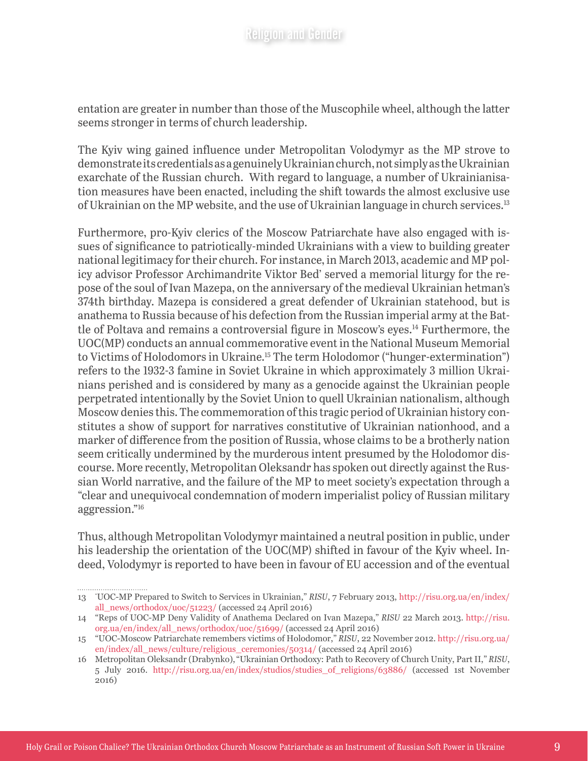entation are greater in number than those of the Muscophile wheel, although the latter seems stronger in terms of church leadership.

The Kyiv wing gained influence under Metropolitan Volodymyr as the MP strove to demonstrate its credentials as a genuinely Ukrainian church, not simply as the Ukrainian exarchate of the Russian church. With regard to language, a number of Ukrainianisation measures have been enacted, including the shift towards the almost exclusive use of Ukrainian on the MP website, and the use of Ukrainian language in church services.13

Furthermore, pro-Kyiv clerics of the Moscow Patriarchate have also engaged with issues of significance to patriotically-minded Ukrainians with a view to building greater national legitimacy for their church. For instance, in March 2013, academic and MP policy advisor Professor Archimandrite Viktor Bed' served a memorial liturgy for the repose of the soul of Ivan Mazepa, on the anniversary of the medieval Ukrainian hetman's 374th birthday. Mazepa is considered a great defender of Ukrainian statehood, but is anathema to Russia because of his defection from the Russian imperial army at the Battle of Poltava and remains a controversial figure in Moscow's eyes.14 Furthermore, the UOC(MP) conducts an annual commemorative event in the National Museum Memorial to Victims of Holodomors in Ukraine.15 The term Holodomor ("hunger-extermination") refers to the 1932-3 famine in Soviet Ukraine in which approximately 3 million Ukrainians perished and is considered by many as a genocide against the Ukrainian people perpetrated intentionally by the Soviet Union to quell Ukrainian nationalism, although Moscow denies this. The commemoration of this tragic period of Ukrainian history constitutes a show of support for narratives constitutive of Ukrainian nationhood, and a marker of difference from the position of Russia, whose claims to be a brotherly nation seem critically undermined by the murderous intent presumed by the Holodomor discourse. More recently, Metropolitan Oleksandr has spoken out directly against the Russian World narrative, and the failure of the MP to meet society's expectation through a "clear and unequivocal condemnation of modern imperialist policy of Russian military aggression."16

Thus, although Metropolitan Volodymyr maintained a neutral position in public, under his leadership the orientation of the UOC(MP) shifted in favour of the Kyiv wheel. Indeed, Volodymyr is reported to have been in favour of EU accession and of the eventual

<sup>13</sup> " UOC-MP Prepared to Switch to Services in Ukrainian," *RISU*, 7 February 2013, [http://risu.org.ua/en/index/](http://risu.org.ua/en/index/all_news/orthodox/uoc/51223/) [all\\_news/orthodox/uoc/51223/](http://risu.org.ua/en/index/all_news/orthodox/uoc/51223/) (accessed 24 April 2016)

<sup>14</sup> "Reps of UOC-MP Deny Validity of Anathema Declared on Ivan Mazepa," *RISU* 22 March 2013. [http://risu.](http://risu.org.ua/en/index/all_news/orthodox/uoc/51699/) [org.ua/en/index/all\\_news/orthodox/uoc/51699/](http://risu.org.ua/en/index/all_news/orthodox/uoc/51699/) (accessed 24 April 2016)

<sup>15</sup> "UOC-Moscow Patriarchate remembers victims of Holodomor," *RISU*, 22 November 2012. [http://risu.org.ua/](http://risu.org.ua/en/index/all_news/culture/religious_ceremonies/50314/) [en/index/all\\_news/culture/religious\\_ceremonies/50314/](http://risu.org.ua/en/index/all_news/culture/religious_ceremonies/50314/) (accessed 24 April 2016)

<sup>16</sup> Metropolitan Oleksandr (Drabynko), "Ukrainian Orthodoxy: Path to Recovery of Church Unity, Part II," *RISU*, 5 July 2016. [http://risu.org.ua/en/index/studios/studies\\_of\\_religions/63886/](http://risu.org.ua/en/index/studios/studies_of_religions/63886/) (accessed 1st November 2016)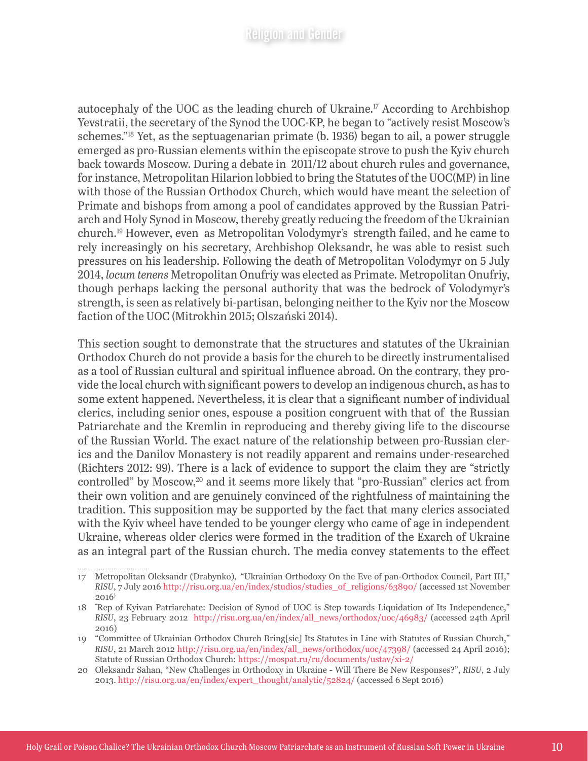autocephaly of the UOC as the leading church of Ukraine.<sup> $\Gamma$ </sup> According to Archbishop Yevstratii, the secretary of the Synod the UOC-KP, he began to "actively resist Moscow's schemes."18 Yet, as the septuagenarian primate (b. 1936) began to ail, a power struggle emerged as pro-Russian elements within the episcopate strove to push the Kyiv church back towards Moscow. During a debate in 2011/12 about church rules and governance, for instance, Metropolitan Hilarion lobbied to bring the Statutes of the UOC(MP) in line with those of the Russian Orthodox Church, which would have meant the selection of Primate and bishops from among a pool of candidates approved by the Russian Patriarch and Holy Synod in Moscow, thereby greatly reducing the freedom of the Ukrainian church.19 However, even as Metropolitan Volodymyr's strength failed, and he came to rely increasingly on his secretary, Archbishop Oleksandr, he was able to resist such pressures on his leadership. Following the death of Metropolitan Volodymyr on 5 July 2014, *locum tenens* Metropolitan Onufriy was elected as Primate. Metropolitan Onufriy, though perhaps lacking the personal authority that was the bedrock of Volodymyr's strength, is seen as relatively bi-partisan, belonging neither to the Kyiv nor the Moscow faction of the UOC (Mitrokhin 2015; Olszański 2014).

This section sought to demonstrate that the structures and statutes of the Ukrainian Orthodox Church do not provide a basis for the church to be directly instrumentalised as a tool of Russian cultural and spiritual influence abroad. On the contrary, they provide the local church with significant powers to develop an indigenous church, as has to some extent happened. Nevertheless, it is clear that a significant number of individual clerics, including senior ones, espouse a position congruent with that of the Russian Patriarchate and the Kremlin in reproducing and thereby giving life to the discourse of the Russian World. The exact nature of the relationship between pro-Russian clerics and the Danilov Monastery is not readily apparent and remains under-researched (Richters 2012: 99). There is a lack of evidence to support the claim they are "strictly controlled" by Moscow,<sup>20</sup> and it seems more likely that "pro-Russian" clerics act from their own volition and are genuinely convinced of the rightfulness of maintaining the tradition. This supposition may be supported by the fact that many clerics associated with the Kyiv wheel have tended to be younger clergy who came of age in independent Ukraine, whereas older clerics were formed in the tradition of the Exarch of Ukraine as an integral part of the Russian church. The media convey statements to the effect

<sup>17</sup> Metropolitan Oleksandr (Drabynko), "Ukrainian Orthodoxy On the Eve of pan-Orthodox Council, Part III," *RISU*, 7 July 2016 [http://risu.org.ua/en/index/studios/studies\\_of\\_religions/63890/](http://risu.org.ua/en/index/studios/studies_of_religions/63890/) (accessed 1st November  $2016$ <sup>)</sup>

<sup>18</sup> " Rep of Kyivan Patriarchate: Decision of Synod of UOC is Step towards Liquidation of Its Independence," *RISU*, 23 February 2012 [http://risu.org.ua/en/index/all\\_news/orthodox/uoc/46983/](http://risu.org.ua/en/index/all_news/orthodox/uoc/46983/) (accessed 24th April 2016)

<sup>19</sup> "Committee of Ukrainian Orthodox Church Bring[sic] Its Statutes in Line with Statutes of Russian Church," *RISU*, 21 March 2012 [http://risu.org.ua/en/index/all\\_news/orthodox/uoc/47398/](http://risu.org.ua/en/index/all_news/orthodox/uoc/47398/) (accessed 24 April 2016); Statute of Russian Orthodox Church: <https://mospat.ru/ru/documents/ustav/xi-2/>

<sup>20</sup> Oleksandr Sahan, "New Challenges in Orthodoxy in Ukraine - Will There Be New Responses?", *RISU*, 2 July 2013. [http://risu.org.ua/en/index/expert\\_thought/analytic/52824/](http://risu.org.ua/en/index/expert_thought/analytic/52824/) (accessed 6 Sept 2016)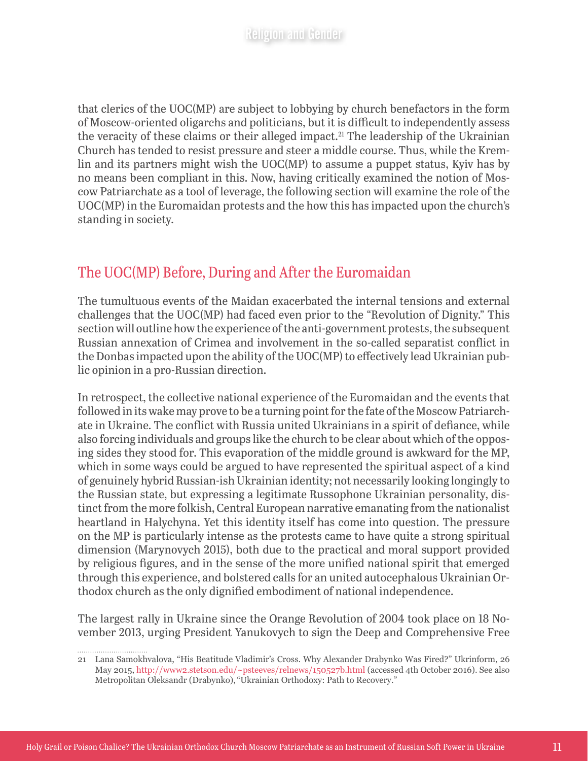that clerics of the UOC(MP) are subject to lobbying by church benefactors in the form of Moscow-oriented oligarchs and politicians, but it is difficult to independently assess the veracity of these claims or their alleged impact.<sup>21</sup> The leadership of the Ukrainian Church has tended to resist pressure and steer a middle course. Thus, while the Kremlin and its partners might wish the UOC(MP) to assume a puppet status, Kyiv has by no means been compliant in this. Now, having critically examined the notion of Moscow Patriarchate as a tool of leverage, the following section will examine the role of the UOC(MP) in the Euromaidan protests and the how this has impacted upon the church's standing in society.

#### The UOC(MP) Before, During and After the Euromaidan

The tumultuous events of the Maidan exacerbated the internal tensions and external challenges that the UOC(MP) had faced even prior to the "Revolution of Dignity." This section will outline how the experience of the anti-government protests, the subsequent Russian annexation of Crimea and involvement in the so-called separatist conflict in the Donbas impacted upon the ability of the UOC(MP) to effectively lead Ukrainian public opinion in a pro-Russian direction.

In retrospect, the collective national experience of the Euromaidan and the events that followed in its wake may prove to be a turning point for the fate of the Moscow Patriarchate in Ukraine. The conflict with Russia united Ukrainians in a spirit of defiance, while also forcing individuals and groups like the church to be clear about which of the opposing sides they stood for. This evaporation of the middle ground is awkward for the MP, which in some ways could be argued to have represented the spiritual aspect of a kind of genuinely hybrid Russian-ish Ukrainian identity; not necessarily looking longingly to the Russian state, but expressing a legitimate Russophone Ukrainian personality, distinct from the more folkish, Central European narrative emanating from the nationalist heartland in Halychyna. Yet this identity itself has come into question. The pressure on the MP is particularly intense as the protests came to have quite a strong spiritual dimension (Marynovych 2015), both due to the practical and moral support provided by religious figures, and in the sense of the more unified national spirit that emerged through this experience, and bolstered calls for an united autocephalous Ukrainian Orthodox church as the only dignified embodiment of national independence.

The largest rally in Ukraine since the Orange Revolution of 2004 took place on 18 November 2013, urging President Yanukovych to sign the Deep and Comprehensive Free

<sup>21</sup> Lana Samokhvalova, "His Beatitude Vladimir's Cross. Why Alexander Drabynko Was Fired?" Ukrinform, 26 May 2015, <http://www2.stetson.edu/~psteeves/relnews/150527b.html> (accessed 4th October 2016). See also Metropolitan Oleksandr (Drabynko), "Ukrainian Orthodoxy: Path to Recovery."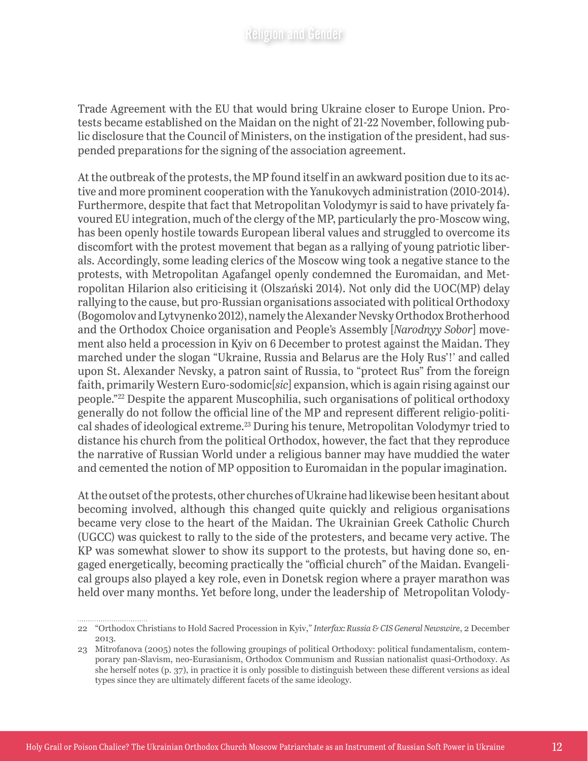Trade Agreement with the EU that would bring Ukraine closer to Europe Union. Protests became established on the Maidan on the night of 21-22 November, following public disclosure that the Council of Ministers, on the instigation of the president, had suspended preparations for the signing of the association agreement.

At the outbreak of the protests, the MP found itself in an awkward position due to its active and more prominent cooperation with the Yanukovych administration (2010-2014). Furthermore, despite that fact that Metropolitan Volodymyr is said to have privately favoured EU integration, much of the clergy of the MP, particularly the pro-Moscow wing, has been openly hostile towards European liberal values and struggled to overcome its discomfort with the protest movement that began as a rallying of young patriotic liberals. Accordingly, some leading clerics of the Moscow wing took a negative stance to the protests, with Metropolitan Agafangel openly condemned the Euromaidan, and Metropolitan Hilarion also criticising it (Olszański 2014). Not only did the UOC(MP) delay rallying to the cause, but pro-Russian organisations associated with political Orthodoxy (Bogomolov and Lytvynenko 2012), namely the Alexander Nevsky Orthodox Brotherhood and the Orthodox Choice organisation and People's Assembly [*Narodnyy Sobor*] movement also held a procession in Kyiv on 6 December to protest against the Maidan. They marched under the slogan "Ukraine, Russia and Belarus are the Holy Rus'!' and called upon St. Alexander Nevsky, a patron saint of Russia, to "protect Rus" from the foreign faith, primarily Western Euro-sodomic[*sic*] expansion, which is again rising against our people."22 Despite the apparent Muscophilia, such organisations of political orthodoxy generally do not follow the official line of the MP and represent different religio-political shades of ideological extreme.23 During his tenure, Metropolitan Volodymyr tried to distance his church from the political Orthodox, however, the fact that they reproduce the narrative of Russian World under a religious banner may have muddied the water and cemented the notion of MP opposition to Euromaidan in the popular imagination.

At the outset of the protests, other churches of Ukraine had likewise been hesitant about becoming involved, although this changed quite quickly and religious organisations became very close to the heart of the Maidan. The Ukrainian Greek Catholic Church (UGCC) was quickest to rally to the side of the protesters, and became very active. The KP was somewhat slower to show its support to the protests, but having done so, engaged energetically, becoming practically the "official church" of the Maidan. Evangelical groups also played a key role, even in Donetsk region where a prayer marathon was held over many months. Yet before long, under the leadership of Metropolitan Volody-

<sup>22</sup> "Orthodox Christians to Hold Sacred Procession in Kyiv," *Interfax: Russia & CIS General Newswire*, 2 December 2013.

<sup>23</sup> Mitrofanova (2005) notes the following groupings of political Orthodoxy: political fundamentalism, contemporary pan-Slavism, neo-Eurasianism, Orthodox Communism and Russian nationalist quasi-Orthodoxy. As she herself notes (p. 37), in practice it is only possible to distinguish between these different versions as ideal types since they are ultimately different facets of the same ideology.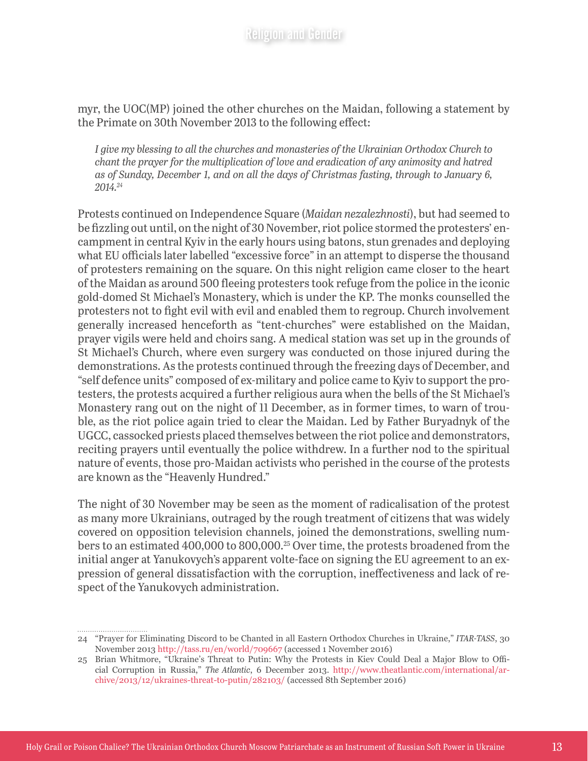myr, the UOC(MP) joined the other churches on the Maidan, following a statement by the Primate on 30th November 2013 to the following effect:

*I give my blessing to all the churches and monasteries of the Ukrainian Orthodox Church to chant the prayer for the multiplication of love and eradication of any animosity and hatred as of Sunday, December 1, and on all the days of Christmas fasting, through to January 6, 2014.24*

Protests continued on Independence Square (*Maidan nezalezhnosti*), but had seemed to be fizzling out until, on the night of 30 November, riot police stormed the protesters' encampment in central Kyiv in the early hours using batons, stun grenades and deploying what EU officials later labelled "excessive force" in an attempt to disperse the thousand of protesters remaining on the square. On this night religion came closer to the heart of the Maidan as around 500 fleeing protesters took refuge from the police in the iconic gold-domed St Michael's Monastery, which is under the KP. The monks counselled the protesters not to fight evil with evil and enabled them to regroup. Church involvement generally increased henceforth as "tent-churches" were established on the Maidan, prayer vigils were held and choirs sang. A medical station was set up in the grounds of St Michael's Church, where even surgery was conducted on those injured during the demonstrations. As the protests continued through the freezing days of December, and "self defence units" composed of ex-military and police came to Kyiv to support the protesters, the protests acquired a further religious aura when the bells of the St Michael's Monastery rang out on the night of 11 December, as in former times, to warn of trouble, as the riot police again tried to clear the Maidan. Led by Father Buryadnyk of the UGCC, cassocked priests placed themselves between the riot police and demonstrators, reciting prayers until eventually the police withdrew. In a further nod to the spiritual nature of events, those pro-Maidan activists who perished in the course of the protests are known as the "Heavenly Hundred."

The night of 30 November may be seen as the moment of radicalisation of the protest as many more Ukrainians, outraged by the rough treatment of citizens that was widely covered on opposition television channels, joined the demonstrations, swelling numbers to an estimated 400,000 to 800,000.25 Over time, the protests broadened from the initial anger at Yanukovych's apparent volte-face on signing the EU agreement to an expression of general dissatisfaction with the corruption, ineffectiveness and lack of respect of the Yanukovych administration.

<sup>24</sup> "Prayer for Eliminating Discord to be Chanted in all Eastern Orthodox Churches in Ukraine," *ITAR-TASS*, 30 November 2013<http://tass.ru/en/world/709667>(accessed 1 November 2016)

<sup>25</sup> Brian Whitmore, "Ukraine's Threat to Putin: Why the Protests in Kiev Could Deal a Major Blow to Official Corruption in Russia," *The Atlantic*, 6 December 2013. [http://www.theatlantic.com/international/ar](http://www.theatlantic.com/international/archive/2013/12/ukraines-threat-to-putin/282103/)[chive/2013/12/ukraines-threat-to-putin/282103/](http://www.theatlantic.com/international/archive/2013/12/ukraines-threat-to-putin/282103/) (accessed 8th September 2016)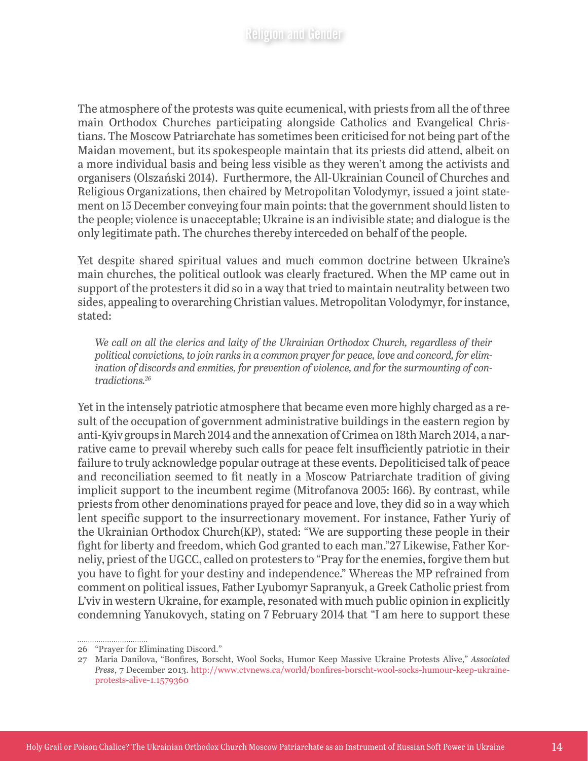The atmosphere of the protests was quite ecumenical, with priests from all the of three main Orthodox Churches participating alongside Catholics and Evangelical Christians. The Moscow Patriarchate has sometimes been criticised for not being part of the Maidan movement, but its spokespeople maintain that its priests did attend, albeit on a more individual basis and being less visible as they weren't among the activists and organisers (Olszański 2014). Furthermore, the All-Ukrainian Council of Churches and Religious Organizations, then chaired by Metropolitan Volodymyr, issued a joint statement on 15 December conveying four main points: that the government should listen to the people; violence is unacceptable; Ukraine is an indivisible state; and dialogue is the only legitimate path. The churches thereby interceded on behalf of the people.

Yet despite shared spiritual values and much common doctrine between Ukraine's main churches, the political outlook was clearly fractured. When the MP came out in support of the protesters it did so in a way that tried to maintain neutrality between two sides, appealing to overarching Christian values. Metropolitan Volodymyr, for instance, stated:

*We call on all the clerics and laity of the Ukrainian Orthodox Church, regardless of their political convictions, to join ranks in a common prayer for peace, love and concord, for elimination of discords and enmities, for prevention of violence, and for the surmounting of contradictions.26*

Yet in the intensely patriotic atmosphere that became even more highly charged as a result of the occupation of government administrative buildings in the eastern region by anti-Kyiv groups in March 2014 and the annexation of Crimea on 18th March 2014, a narrative came to prevail whereby such calls for peace felt insufficiently patriotic in their failure to truly acknowledge popular outrage at these events. Depoliticised talk of peace and reconciliation seemed to fit neatly in a Moscow Patriarchate tradition of giving implicit support to the incumbent regime (Mitrofanova 2005: 166). By contrast, while priests from other denominations prayed for peace and love, they did so in a way which lent specific support to the insurrectionary movement. For instance, Father Yuriy of the Ukrainian Orthodox Church(KP), stated: "We are supporting these people in their fight for liberty and freedom, which God granted to each man."27 Likewise, Father Korneliy, priest of the UGCC, called on protesters to "Pray for the enemies, forgive them but you have to fight for your destiny and independence." Whereas the MP refrained from comment on political issues, Father Lyubomyr Sapranyuk, a Greek Catholic priest from L'viv in western Ukraine, for example, resonated with much public opinion in explicitly condemning Yanukovych, stating on 7 February 2014 that "I am here to support these

<sup>26</sup> "Prayer for Eliminating Discord."

<sup>27</sup> Maria Danilova, "Bonfires, Borscht, Wool Socks, Humor Keep Massive Ukraine Protests Alive," *Associated Press*, 7 December 2013. [http://www.ctvnews.ca/world/bonfires-borscht-wool-socks-humour-keep-ukraine](http://www.ctvnews.ca/world/bonfires-borscht-wool-socks-humour-keep-ukraine-protests-alive-1.1579360)[protests-alive-1.1579360](http://www.ctvnews.ca/world/bonfires-borscht-wool-socks-humour-keep-ukraine-protests-alive-1.1579360)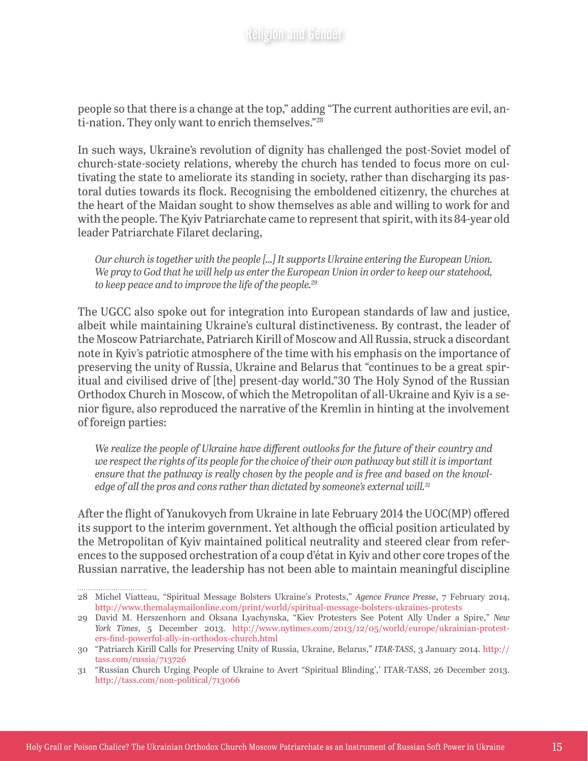people so that there is a change at the top," adding "The current authorities are evil, anti-nation. They only want to enrich themselves."28

In such ways, Ukraine's revolution of dignity has challenged the post-Soviet model of church-state-society relations, whereby the church has tended to focus more on cultivating the state to ameliorate its standing in society, rather than discharging its pastoral duties towards its flock. Recognising the emboldened citizenry, the churches at the heart of the Maidan sought to show themselves as able and willing to work for and with the people. The Kyiv Patriarchate came to represent that spirit, with its 84-year old leader Patriarchate Filaret declaring,

*Our church is together with the people [...] It supports Ukraine entering the European Union. We pray to God that he will help us enter the European Union in order to keep our statehood, to keep peace and to improve the life of the people.29*

The UGCC also spoke out for integration into European standards of law and justice, albeit while maintaining Ukraine's cultural distinctiveness. By contrast, the leader of the Moscow Patriarchate, Patriarch Kirill of Moscow and All Russia, struck a discordant note in Kyiv's patriotic atmosphere of the time with his emphasis on the importance of preserving the unity of Russia, Ukraine and Belarus that "continues to be a great spiritual and civilised drive of [the] present-day world."30 The Holy Synod of the Russian Orthodox Church in Moscow, of which the Metropolitan of all-Ukraine and Kyiv is a senior figure, also reproduced the narrative of the Kremlin in hinting at the involvement of foreign parties:

*We realize the people of Ukraine have different outlooks for the future of their country and we respect the rights of its people for the choice of their own pathway but still it is important ensure that the pathway is really chosen by the people and is free and based on the knowledge of all the pros and cons rather than dictated by someone's external will.31*

After the flight of Yanukovych from Ukraine in late February 2014 the UOC(MP) offered its support to the interim government. Yet although the official position articulated by the Metropolitan of Kyiv maintained political neutrality and steered clear from references to the supposed orchestration of a coup d'état in Kyiv and other core tropes of the Russian narrative, the leadership has not been able to maintain meaningful discipline

<sup>28</sup> Michel Viatteau, "Spiritual Message Bolsters Ukraine's Protests," *Agence France Presse*, 7 February 2014, <http://www.themalaymailonline.com/print/world/spiritual-message-bolsters-ukraines-protests>

<sup>29</sup> David M. Herszenhorn and Oksana Lyachynska, "Kiev Protesters See Potent Ally Under a Spire," *New York Times*, 5 December 2013. [http://www.nytimes.com/2013/12/05/world/europe/ukrainian-protest](http://www.nytimes.com/2013/12/05/world/europe/ukrainian-protesters-find-powerful-ally-in-orthodox-church.html)[ers-find-powerful-ally-in-orthodox-church.html](http://www.nytimes.com/2013/12/05/world/europe/ukrainian-protesters-find-powerful-ally-in-orthodox-church.html)

<sup>30</sup> "Patriarch Kirill Calls for Preserving Unity of Russia, Ukraine, Belarus," *ITAR-TASS*, 3 January 2014. [http://](http://tass.com/russia/713726) [tass.com/russia/713726](http://tass.com/russia/713726)

<sup>31</sup> "Russian Church Urging People of Ukraine to Avert "Spiritual Blinding',' ITAR-TASS, 26 December 2013. <http://tass.com/non-political/713066>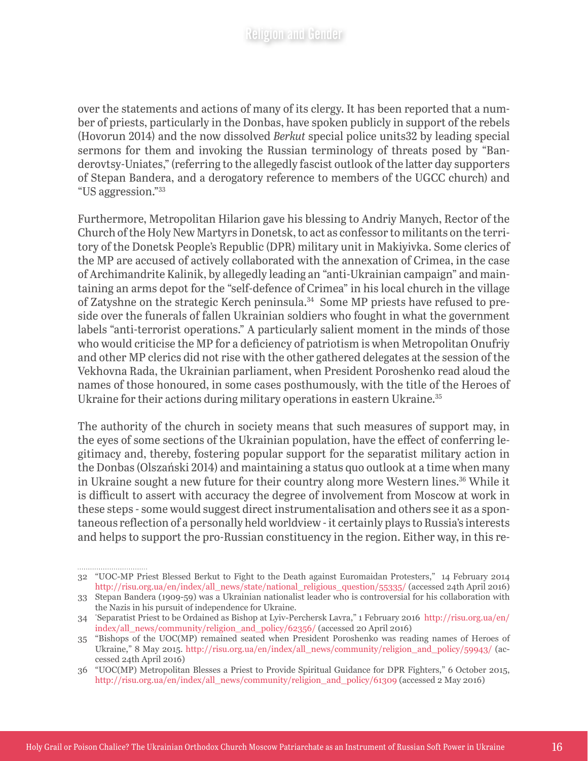over the statements and actions of many of its clergy. It has been reported that a number of priests, particularly in the Donbas, have spoken publicly in support of the rebels (Hovorun 2014) and the now dissolved *Berkut* special police units32 by leading special sermons for them and invoking the Russian terminology of threats posed by "Banderovtsy-Uniates," (referring to the allegedly fascist outlook of the latter day supporters of Stepan Bandera, and a derogatory reference to members of the UGCC church) and "US aggression."33

Furthermore, Metropolitan Hilarion gave his blessing to Andriy Manych, Rector of the Church of the Holy New Martyrs in Donetsk, to act as confessor to militants on the territory of the Donetsk People's Republic (DPR) military unit in Makiyivka. Some clerics of the MP are accused of actively collaborated with the annexation of Crimea, in the case of Archimandrite Kalinik, by allegedly leading an "anti-Ukrainian campaign" and maintaining an arms depot for the "self-defence of Crimea" in his local church in the village of Zatyshne on the strategic Kerch peninsula.34 Some MP priests have refused to preside over the funerals of fallen Ukrainian soldiers who fought in what the government labels "anti-terrorist operations." A particularly salient moment in the minds of those who would criticise the MP for a deficiency of patriotism is when Metropolitan Onufriy and other MP clerics did not rise with the other gathered delegates at the session of the Vekhovna Rada, the Ukrainian parliament, when President Poroshenko read aloud the names of those honoured, in some cases posthumously, with the title of the Heroes of Ukraine for their actions during military operations in eastern Ukraine.<sup>35</sup>

The authority of the church in society means that such measures of support may, in the eyes of some sections of the Ukrainian population, have the effect of conferring legitimacy and, thereby, fostering popular support for the separatist military action in the Donbas (Olszański 2014) and maintaining a status quo outlook at a time when many in Ukraine sought a new future for their country along more Western lines.<sup>36</sup> While it is difficult to assert with accuracy the degree of involvement from Moscow at work in these steps - some would suggest direct instrumentalisation and others see it as a spontaneous reflection of a personally held worldview - it certainly plays to Russia's interests and helps to support the pro-Russian constituency in the region. Either way, in this re-

<sup>32</sup> "UOC-MP Priest Blessed Berkut to Fight to the Death against Euromaidan Protesters," 14 February 2014 [http://risu.org.ua/en/index/all\\_news/state/national\\_religious\\_question/55335/](http://risu.org.ua/en/index/all_news/state/national_religious_question/55335/) (accessed 24th April 2016)

<sup>33</sup> Stepan Bandera (1909-59) was a Ukrainian nationalist leader who is controversial for his collaboration with the Nazis in his pursuit of independence for Ukraine.

<sup>34</sup> " Separatist Priest to be Ordained as Bishop at Lyiv-Perchersk Lavra," 1 February 2016 [http://risu.org.ua/en/](http://risu.org.ua/en/index/all_news/community/religion_and_policy/62356/) [index/all\\_news/community/religion\\_and\\_policy/62356/](http://risu.org.ua/en/index/all_news/community/religion_and_policy/62356/) (accessed 20 April 2016)

<sup>35</sup> "Bishops of the UOC(MP) remained seated when President Poroshenko was reading names of Heroes of Ukraine," 8 May 2015. [http://risu.org.ua/en/index/all\\_news/community/religion\\_and\\_policy/59943/](http://risu.org.ua/en/index/all_news/community/religion_and_policy/59943/) (accessed 24th April 2016)

<sup>36</sup> "UOC(MP) Metropolitan Blesses a Priest to Provide Spiritual Guidance for DPR Fighters," 6 October 2015, [http://risu.org.ua/en/index/all\\_news/community/religion\\_and\\_policy/61309](http://risu.org.ua/en/index/all_news/community/religion_and_policy/61309) (accessed 2 May 2016)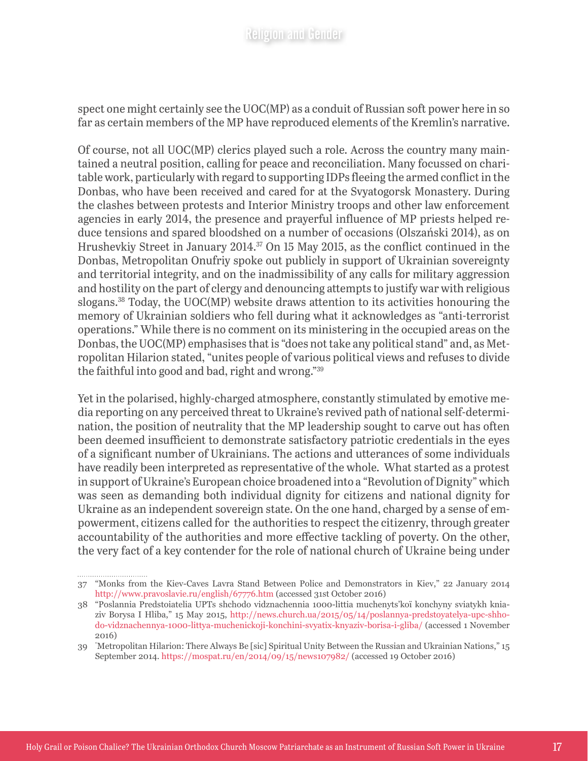spect one might certainly see the UOC(MP) as a conduit of Russian soft power here in so far as certain members of the MP have reproduced elements of the Kremlin's narrative.

Of course, not all UOC(MP) clerics played such a role. Across the country many maintained a neutral position, calling for peace and reconciliation. Many focussed on charitable work, particularly with regard to supporting IDPs fleeing the armed conflict in the Donbas, who have been received and cared for at the Svyatogorsk Monastery. During the clashes between protests and Interior Ministry troops and other law enforcement agencies in early 2014, the presence and prayerful influence of MP priests helped reduce tensions and spared bloodshed on a number of occasions (Olszański 2014), as on Hrushevkiy Street in January 2014.<sup>37</sup> On 15 May 2015, as the conflict continued in the Donbas, Metropolitan Onufriy spoke out publicly in support of Ukrainian sovereignty and territorial integrity, and on the inadmissibility of any calls for military aggression and hostility on the part of clergy and denouncing attempts to justify war with religious slogans.38 Today, the UOC(MP) website draws attention to its activities honouring the memory of Ukrainian soldiers who fell during what it acknowledges as "anti-terrorist operations." While there is no comment on its ministering in the occupied areas on the Donbas, the UOC(MP) emphasises that is "does not take any political stand" and, as Metropolitan Hilarion stated, "unites people of various political views and refuses to divide the faithful into good and bad, right and wrong."39

Yet in the polarised, highly-charged atmosphere, constantly stimulated by emotive media reporting on any perceived threat to Ukraine's revived path of national self-determination, the position of neutrality that the MP leadership sought to carve out has often been deemed insufficient to demonstrate satisfactory patriotic credentials in the eyes of a significant number of Ukrainians. The actions and utterances of some individuals have readily been interpreted as representative of the whole. What started as a protest in support of Ukraine's European choice broadened into a "Revolution of Dignity" which was seen as demanding both individual dignity for citizens and national dignity for Ukraine as an independent sovereign state. On the one hand, charged by a sense of empowerment, citizens called for the authorities to respect the citizenry, through greater accountability of the authorities and more effective tackling of poverty. On the other, the very fact of a key contender for the role of national church of Ukraine being under

<sup>37</sup> "Monks from the Kiev-Caves Lavra Stand Between Police and Demonstrators in Kiev," 22 January 2014 <http://www.pravoslavie.ru/english/67776.htm> (accessed 31st October 2016)

<sup>38</sup> "Poslannia Predstoiatelia UPTs shchodo vidznachennia 1000-littia muchenyts'koï konchyny sviatykh kniaziv Borysa I Hliba," 15 May 2015, [http://news.church.ua/2015/05/14/poslannya-predstoyatelya-upc-shho](http://news.church.ua/2015/05/14/poslannya-predstoyatelya-upc-shhodo-vidznachennya-1000-littya-muchenickoji-konchini-svyatix-knyaziv-borisa-i-gliba/)[do-vidznachennya-1000-littya-muchenickoji-konchini-svyatix-knyaziv-borisa-i-gliba/](http://news.church.ua/2015/05/14/poslannya-predstoyatelya-upc-shhodo-vidznachennya-1000-littya-muchenickoji-konchini-svyatix-knyaziv-borisa-i-gliba/) (accessed 1 November 2016)

<sup>39</sup> " Metropolitan Hilarion: There Always Be [sic] Spiritual Unity Between the Russian and Ukrainian Nations," 15 September 2014. <https://mospat.ru/en/2014/09/15/news107982/> (accessed 19 October 2016)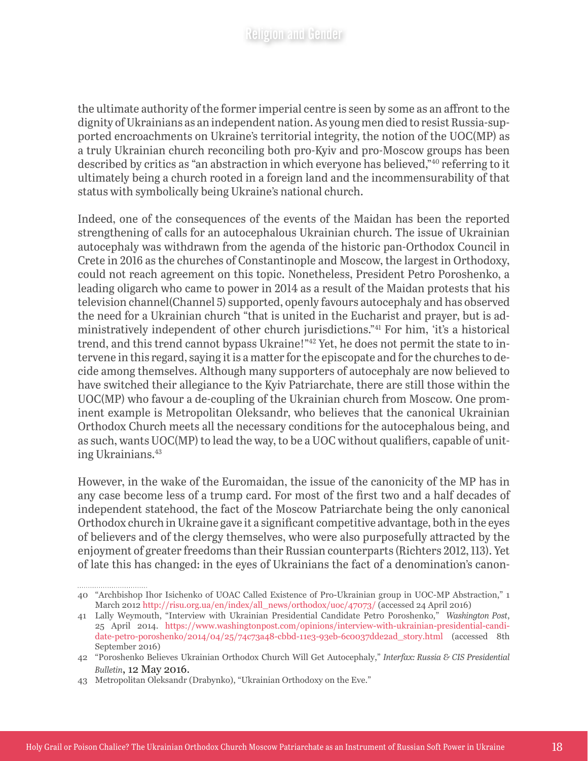the ultimate authority of the former imperial centre is seen by some as an affront to the dignity of Ukrainians as an independent nation. As young men died to resist Russia-supported encroachments on Ukraine's territorial integrity, the notion of the UOC(MP) as a truly Ukrainian church reconciling both pro-Kyiv and pro-Moscow groups has been described by critics as "an abstraction in which everyone has believed,"40 referring to it ultimately being a church rooted in a foreign land and the incommensurability of that status with symbolically being Ukraine's national church.

Indeed, one of the consequences of the events of the Maidan has been the reported strengthening of calls for an autocephalous Ukrainian church. The issue of Ukrainian autocephaly was withdrawn from the agenda of the historic pan-Orthodox Council in Crete in 2016 as the churches of Constantinople and Moscow, the largest in Orthodoxy, could not reach agreement on this topic. Nonetheless, President Petro Poroshenko, a leading oligarch who came to power in 2014 as a result of the Maidan protests that his television channel(Channel 5) supported, openly favours autocephaly and has observed the need for a Ukrainian church "that is united in the Eucharist and prayer, but is administratively independent of other church jurisdictions."41 For him, 'it's a historical trend, and this trend cannot bypass Ukraine!"42 Yet, he does not permit the state to intervene in this regard, saying it is a matter for the episcopate and for the churches to decide among themselves. Although many supporters of autocephaly are now believed to have switched their allegiance to the Kyiv Patriarchate, there are still those within the UOC(MP) who favour a de-coupling of the Ukrainian church from Moscow. One prominent example is Metropolitan Oleksandr, who believes that the canonical Ukrainian Orthodox Church meets all the necessary conditions for the autocephalous being, and as such, wants UOC(MP) to lead the way, to be a UOC without qualifiers, capable of uniting Ukrainians.43

However, in the wake of the Euromaidan, the issue of the canonicity of the MP has in any case become less of a trump card. For most of the first two and a half decades of independent statehood, the fact of the Moscow Patriarchate being the only canonical Orthodox church in Ukraine gave it a significant competitive advantage, both in the eyes of believers and of the clergy themselves, who were also purposefully attracted by the enjoyment of greater freedoms than their Russian counterparts (Richters 2012, 113). Yet of late this has changed: in the eyes of Ukrainians the fact of a denomination's canon-

<sup>40</sup> "Archbishop Ihor Isichenko of UOAC Called Existence of Pro-Ukrainian group in UOC-MP Abstraction," 1 March 2012 [http://risu.org.ua/en/index/all\\_news/orthodox/uoc/47073/](http://risu.org.ua/en/index/all_news/orthodox/uoc/47073/) (accessed 24 April 2016)

<sup>41</sup> Lally Weymouth, "Interview with Ukrainian Presidential Candidate Petro Poroshenko," *Washington Post*, 25 April 2014. [https://www.washingtonpost.com/opinions/interview-with-ukrainian-presidential-candi](https://www.washingtonpost.com/opinions/interview-with-ukrainian-presidential-candidate-petro-poroshenko/2014/04/25/74c73a48-cbbd-11e3-93eb-6c0037dde2ad_story.html)[date-petro-poroshenko/2014/04/25/74c73a48-cbbd-11e3-93eb-6c0037dde2ad\\_story.html](https://www.washingtonpost.com/opinions/interview-with-ukrainian-presidential-candidate-petro-poroshenko/2014/04/25/74c73a48-cbbd-11e3-93eb-6c0037dde2ad_story.html) (accessed 8th September 2016)

<sup>42</sup> "Poroshenko Believes Ukrainian Orthodox Church Will Get Autocephaly," *Interfax: Russia & CIS Presidential Bulletin*, 12 May 2016.

<sup>43</sup> Metropolitan Oleksandr (Drabynko), "Ukrainian Orthodoxy on the Eve."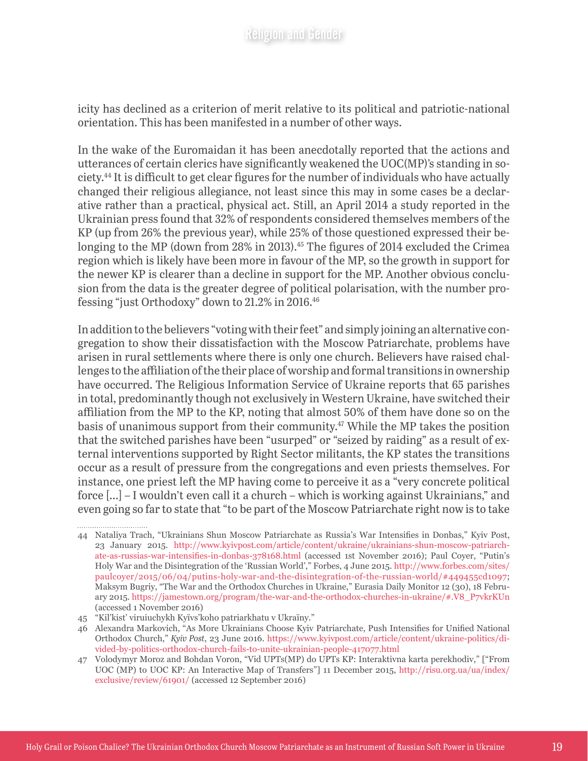icity has declined as a criterion of merit relative to its political and patriotic-national orientation. This has been manifested in a number of other ways.

In the wake of the Euromaidan it has been anecdotally reported that the actions and utterances of certain clerics have significantly weakened the UOC(MP)'s standing in society.44 It is difficult to get clear figures for the number of individuals who have actually changed their religious allegiance, not least since this may in some cases be a declarative rather than a practical, physical act. Still, an April 2014 a study reported in the Ukrainian press found that 32% of respondents considered themselves members of the KP (up from 26% the previous year), while 25% of those questioned expressed their belonging to the MP (down from 28% in 2013).<sup>45</sup> The figures of 2014 excluded the Crimea region which is likely have been more in favour of the MP, so the growth in support for the newer KP is clearer than a decline in support for the MP. Another obvious conclusion from the data is the greater degree of political polarisation, with the number professing "just Orthodoxy" down to 21.2% in 2016.46

In addition to the believers "voting with their feet" and simply joining an alternative congregation to show their dissatisfaction with the Moscow Patriarchate, problems have arisen in rural settlements where there is only one church. Believers have raised challenges to the affiliation of the their place of worship and formal transitions in ownership have occurred. The Religious Information Service of Ukraine reports that 65 parishes in total, predominantly though not exclusively in Western Ukraine, have switched their affiliation from the MP to the KP, noting that almost 50% of them have done so on the basis of unanimous support from their community.<sup>47</sup> While the MP takes the position that the switched parishes have been "usurped" or "seized by raiding" as a result of external interventions supported by Right Sector militants, the KP states the transitions occur as a result of pressure from the congregations and even priests themselves. For instance, one priest left the MP having come to perceive it as a "very concrete political force [...] – I wouldn't even call it a church – which is working against Ukrainians," and even going so far to state that "to be part of the Moscow Patriarchate right now is to take

<sup>44</sup> Nataliya Trach, "Ukrainians Shun Moscow Patriarchate as Russia's War Intensifies in Donbas," Kyiv Post, 23 January 2015. [http://www.kyivpost.com/article/content/ukraine/ukrainians-shun-moscow-patriarch](http://www.kyivpost.com/article/content/ukraine/ukrainians-shun-moscow-patriarchate-as-russias-war-intensifies-in-donbas-378168.html)[ate-as-russias-war-intensifies-in-donbas-378168.html](http://www.kyivpost.com/article/content/ukraine/ukrainians-shun-moscow-patriarchate-as-russias-war-intensifies-in-donbas-378168.html) (accessed 1st November 2016); Paul Coyer, "Putin's Holy War and the Disintegration of the 'Russian World'," Forbes, 4 June 2015. [http://www.forbes.com/sites/](http://www.forbes.com/sites/paulcoyer/2015/06/04/putins-holy-war-and-the-disintegration-of-the-russian-world/#449455cd1097) [paulcoyer/2015/06/04/putins-holy-war-and-the-disintegration-of-the-russian-world/#449455cd1097](http://www.forbes.com/sites/paulcoyer/2015/06/04/putins-holy-war-and-the-disintegration-of-the-russian-world/#449455cd1097); Maksym Bugriy, "The War and the Orthodox Churches in Ukraine," Eurasia Daily Monitor 12 (30), 18 February 2015. [https://jamestown.org/program/the-war-and-the-orthodox-churches-in-ukraine/#.V8\\_P7vkrKUn](https://jamestown.org/program/the-war-and-the-orthodox-churches-in-ukraine/#.V8_P7vkrKUn) (accessed 1 November 2016)

<sup>45</sup> "Kil'kist' viruiuchykh Kyïvs'koho patriarkhatu v Ukraïny."

<sup>46</sup> Alexandra Markovich, "As More Ukrainians Choose Kyiv Patriarchate, Push Intensifies for Unified National Orthodox Church," *Kyiv Post*, 23 June 2016. [https://www.kyivpost.com/article/content/ukraine-politics/di](https://www.kyivpost.com/article/content/ukraine-politics/divided-by-politics-orthodox-church-fails-to-unite-ukrainian-people-417077.html)[vided-by-politics-orthodox-church-fails-to-unite-ukrainian-people-417077.html](https://www.kyivpost.com/article/content/ukraine-politics/divided-by-politics-orthodox-church-fails-to-unite-ukrainian-people-417077.html)

<sup>47</sup> Volodymyr Moroz and Bohdan Voron, "Vid UPTs(MP) do UPTs KP: Interaktivna karta perekhodiv," ["From UOC (MP) to UOC KP: An Interactive Map of Transfers"] 11 December 2015, [http://risu.org.ua/ua/index/](http://risu.org.ua/ua/index/exclusive/review/61901/) [exclusive/review/61901/](http://risu.org.ua/ua/index/exclusive/review/61901/) (accessed 12 September 2016)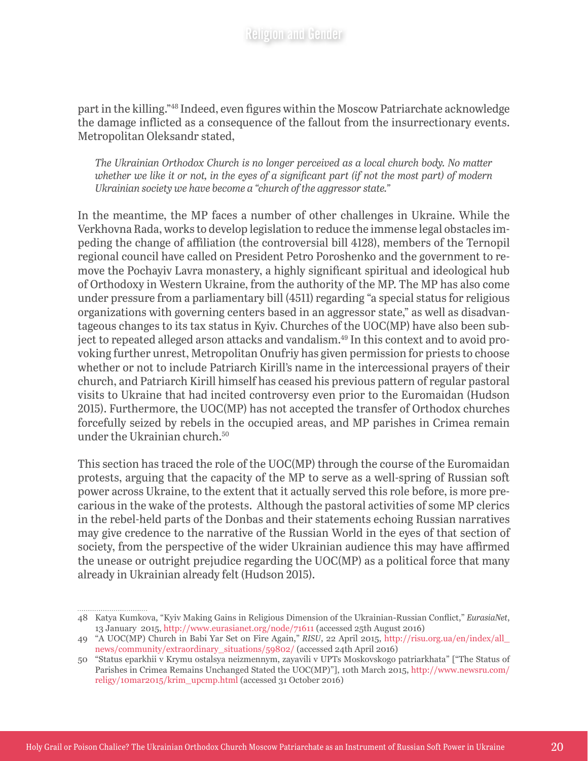part in the killing."48 Indeed, even figures within the Moscow Patriarchate acknowledge the damage inflicted as a consequence of the fallout from the insurrectionary events. Metropolitan Oleksandr stated,

*The Ukrainian Orthodox Church is no longer perceived as a local church body. No matter whether we like it or not, in the eyes of a significant part (if not the most part) of modern Ukrainian society we have become a "church of the aggressor state."*

In the meantime, the MP faces a number of other challenges in Ukraine. While the Verkhovna Rada, works to develop legislation to reduce the immense legal obstacles impeding the change of affiliation (the controversial bill 4128), members of the Ternopil regional council have called on President [Petro Poroshenko](https://global-factiva-com.libproxy.kcl.ac.uk/ha/default.aspx#./!?&_suid=146592624329706880153694449664javascript:void(0);) and the government to remove the Pochayiv Lavra monastery, a highly significant spiritual and ideological hub of Orthodoxy in Western Ukraine, from the authority of the MP. The MP has also come under pressure from a parliamentary bill (4511) regarding "a special status for religious organizations with governing centers based in an aggressor state," as well as disadvantageous changes to its tax status in Kyiv. Churches of the UOC(MP) have also been subject to repeated alleged arson attacks and vandalism.49 In this context and to avoid provoking further unrest, Metropolitan Onufriy has given permission for priests to choose whether or not to include Patriarch Kirill's name in the intercessional prayers of their church, and Patriarch Kirill himself has ceased his previous pattern of regular pastoral visits to Ukraine that had incited controversy even prior to the Euromaidan (Hudson 2015). Furthermore, the UOC(MP) has not accepted the transfer of Orthodox churches forcefully seized by rebels in the occupied areas, and MP parishes in Crimea remain under the Ukrainian church.50

This section has traced the role of the UOC(MP) through the course of the Euromaidan protests, arguing that the capacity of the MP to serve as a well-spring of Russian soft power across Ukraine, to the extent that it actually served this role before, is more precarious in the wake of the protests. Although the pastoral activities of some MP clerics in the rebel-held parts of the Donbas and their statements echoing Russian narratives may give credence to the narrative of the Russian World in the eyes of that section of society, from the perspective of the wider Ukrainian audience this may have affirmed the unease or outright prejudice regarding the UOC(MP) as a political force that many already in Ukrainian already felt (Hudson 2015).

<sup>48</sup> Katya Kumkova, "Kyiv Making Gains in Religious Dimension of the Ukrainian-Russian Conflict," *EurasiaNet*, 13 January 2015, <http://www.eurasianet.org/node/71611> (accessed 25th August 2016)

<sup>49</sup> "A UOC(MP) Church in Babi Yar Set on Fire Again," *RISU*, 22 April 2015, [http://risu.org.ua/en/index/all\\_](http://risu.org.ua/en/index/all_news/community/extraordinary_situations/59802/) [news/community/extraordinary\\_situations/59802/](http://risu.org.ua/en/index/all_news/community/extraordinary_situations/59802/) (accessed 24th April 2016)

<sup>50</sup> "Status eparkhii v Krymu ostalsya neizmennym, zayavili v UPTs Moskovskogo patriarkhata" ["The Status of Parishes in Crimea Remains Unchanged Stated the UOC(MP)"], 10th March 2015, [http://www.newsru.com/](http://www.newsru.com/religy/10mar2015/krim_upcmp.html) [religy/10mar2015/krim\\_upcmp.html](http://www.newsru.com/religy/10mar2015/krim_upcmp.html) (accessed 31 October 2016)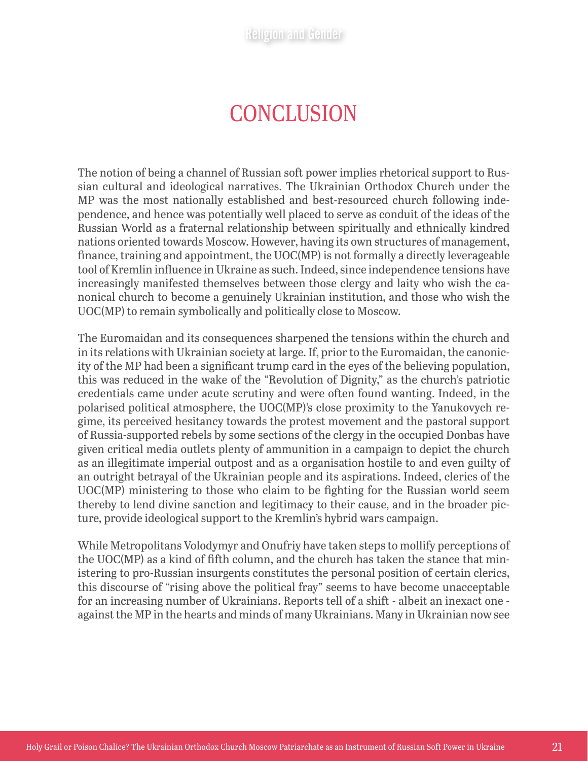# **CONCLUSION**

The notion of being a channel of Russian soft power implies rhetorical support to Russian cultural and ideological narratives. The Ukrainian Orthodox Church under the MP was the most nationally established and best-resourced church following independence, and hence was potentially well placed to serve as conduit of the ideas of the Russian World as a fraternal relationship between spiritually and ethnically kindred nations oriented towards Moscow. However, having its own structures of management, finance, training and appointment, the UOC(MP) is not formally a directly leverageable tool of Kremlin influence in Ukraine as such. Indeed, since independence tensions have increasingly manifested themselves between those clergy and laity who wish the canonical church to become a genuinely Ukrainian institution, and those who wish the UOC(MP) to remain symbolically and politically close to Moscow.

The Euromaidan and its consequences sharpened the tensions within the church and in its relations with Ukrainian society at large. If, prior to the Euromaidan, the canonicity of the MP had been a significant trump card in the eyes of the believing population, this was reduced in the wake of the "Revolution of Dignity," as the church's patriotic credentials came under acute scrutiny and were often found wanting. Indeed, in the polarised political atmosphere, the UOC(MP)'s close proximity to the Yanukovych regime, its perceived hesitancy towards the protest movement and the pastoral support of Russia-supported rebels by some sections of the clergy in the occupied Donbas have given critical media outlets plenty of ammunition in a campaign to depict the church as an illegitimate imperial outpost and as a organisation hostile to and even guilty of an outright betrayal of the Ukrainian people and its aspirations. Indeed, clerics of the UOC(MP) ministering to those who claim to be fighting for the Russian world seem thereby to lend divine sanction and legitimacy to their cause, and in the broader picture, provide ideological support to the Kremlin's hybrid wars campaign.

While Metropolitans Volodymyr and Onufriy have taken steps to mollify perceptions of the UOC(MP) as a kind of fifth column, and the church has taken the stance that ministering to pro-Russian insurgents constitutes the personal position of certain clerics, this discourse of "rising above the political fray" seems to have become unacceptable for an increasing number of Ukrainians. Reports tell of a shift - albeit an inexact one against the MP in the hearts and minds of many Ukrainians. Many in Ukrainian now see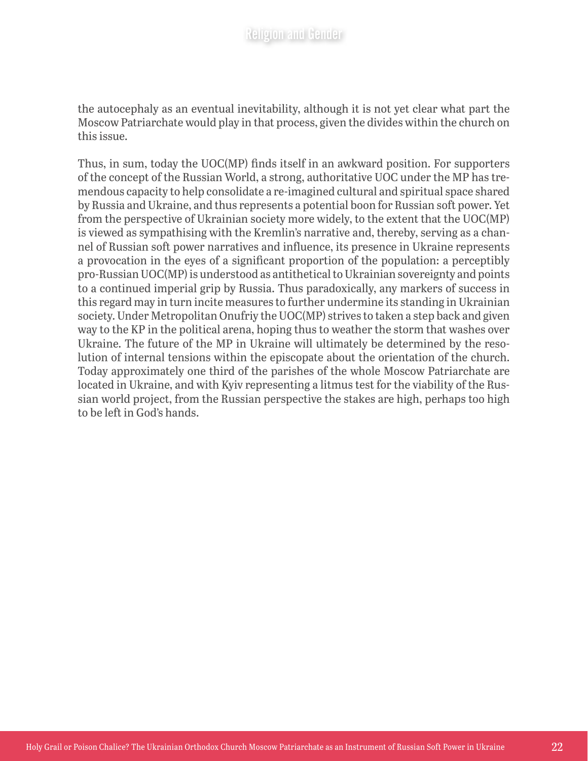the autocephaly as an eventual inevitability, although it is not yet clear what part the Moscow Patriarchate would play in that process, given the divides within the church on this issue.

Thus, in sum, today the UOC(MP) finds itself in an awkward position. For supporters of the concept of the Russian World, a strong, authoritative UOC under the MP has tremendous capacity to help consolidate a re-imagined cultural and spiritual space shared by Russia and Ukraine, and thus represents a potential boon for Russian soft power. Yet from the perspective of Ukrainian society more widely, to the extent that the UOC(MP) is viewed as sympathising with the Kremlin's narrative and, thereby, serving as a channel of Russian soft power narratives and influence, its presence in Ukraine represents a provocation in the eyes of a significant proportion of the population: a perceptibly pro-Russian UOC(MP) is understood as antithetical to Ukrainian sovereignty and points to a continued imperial grip by Russia. Thus paradoxically, any markers of success in this regard may in turn incite measures to further undermine its standing in Ukrainian society. Under Metropolitan Onufriy the UOC(MP) strives to taken a step back and given way to the KP in the political arena, hoping thus to weather the storm that washes over Ukraine. The future of the MP in Ukraine will ultimately be determined by the resolution of internal tensions within the episcopate about the orientation of the church. Today approximately one third of the parishes of the whole Moscow Patriarchate are located in Ukraine, and with Kyiv representing a litmus test for the viability of the Russian world project, from the Russian perspective the stakes are high, perhaps too high to be left in God's hands.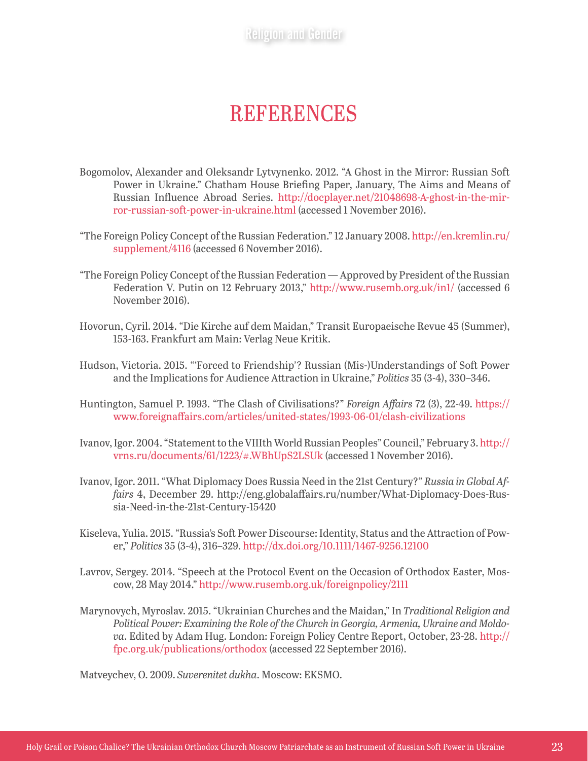Religion and Gender

## **REFERENCES**

- Bogomolov, Alexander and Oleksandr Lytvynenko. 2012. "A Ghost in the Mirror: Russian Soft Power in Ukraine." Chatham House Briefing Paper, January, The Aims and Means of Russian Influence Abroad Series. [http://docplayer.net/21048698-A-ghost-in-the-mir](http://docplayer.net/21048698-A-ghost-in-the-mirror-russian-soft-power-in-ukraine.html)[ror-russian-soft-power-in-ukraine.html](http://docplayer.net/21048698-A-ghost-in-the-mirror-russian-soft-power-in-ukraine.html) (accessed 1 November 2016).
- "The Foreign Policy Concept of the Russian Federation." 12 January 2008. [http://en.kremlin.ru/](http://en.kremlin.ru/supplement/4116) [supplement/4116](http://en.kremlin.ru/supplement/4116) (accessed 6 November 2016).
- "The Foreign Policy Concept of the Russian Federation Approved by President of the Russian Federation V. Putin on 12 February 2013," <http://www.rusemb.org.uk/in1/> (accessed 6 November 2016).
- Hovorun, Cyril. 2014. "Die Kirche auf dem Maidan," Transit Europaeische Revue 45 (Summer), 153-163. Frankfurt am Main: Verlag Neue Kritik.
- Hudson, Victoria. 2015. "'Forced to Friendship'? Russian (Mis-)Understandings of Soft Power and the Implications for Audience Attraction in Ukraine," *Politics* 35 (3-4), 330–346.
- Huntington, Samuel P. 1993. "The Clash of Civilisations?" *Foreign Affairs* 72 (3), 22-49. [https://](https://www.foreignaffairs.com/articles/united-states/1993-06-01/clash-civilizations) [www.foreignaffairs.com/articles/united-states/1993-06-01/clash-civilizations](https://www.foreignaffairs.com/articles/united-states/1993-06-01/clash-civilizations)
- Ivanov, Igor. 2004. "Statement to the VIIIth World Russian Peoples" Council," February 3. [http://](http://vrns.ru/documents/61/1223/#.WBhUpS2LSUk) [vrns.ru/documents/61/1223/#.WBhUpS2LSUk](http://vrns.ru/documents/61/1223/#.WBhUpS2LSUk) (accessed 1 November 2016).
- Ivanov, Igor. 2011. "What Diplomacy Does Russia Need in the 21st Century?" *Russia in Global Affairs* 4, December 29. http://eng.globalaffairs.ru/number/What-Diplomacy-Does-Russia-Need-in-the-21st-Century-15420
- Kiseleva, Yulia. 2015. "Russia's Soft Power Discourse: Identity, Status and the Attraction of Power," *Politics* 35 (3-4), 316–329.<http://dx.doi.org/10.1111/1467-9256.12100>
- Lavrov, Sergey. 2014. "Speech at the Protocol Event on the Occasion of Orthodox Easter, Moscow, 28 May 2014." <http://www.rusemb.org.uk/foreignpolicy/2111>
- Marynovych, Myroslav. 2015. "Ukrainian Churches and the Maidan," In *Traditional Religion and Political Power: Examining the Role of the Church in Georgia, Armenia, Ukraine and Moldova*. Edited by Adam Hug. London: Foreign Policy Centre Report, October, 23-28. [http://](http://fpc.org.uk/publications/orthodox) [fpc.org.uk/publications/orthodox](http://fpc.org.uk/publications/orthodox) (accessed 22 September 2016).

Matveychev, O. 2009. *Suverenitet dukha*. Moscow: EKSMO.